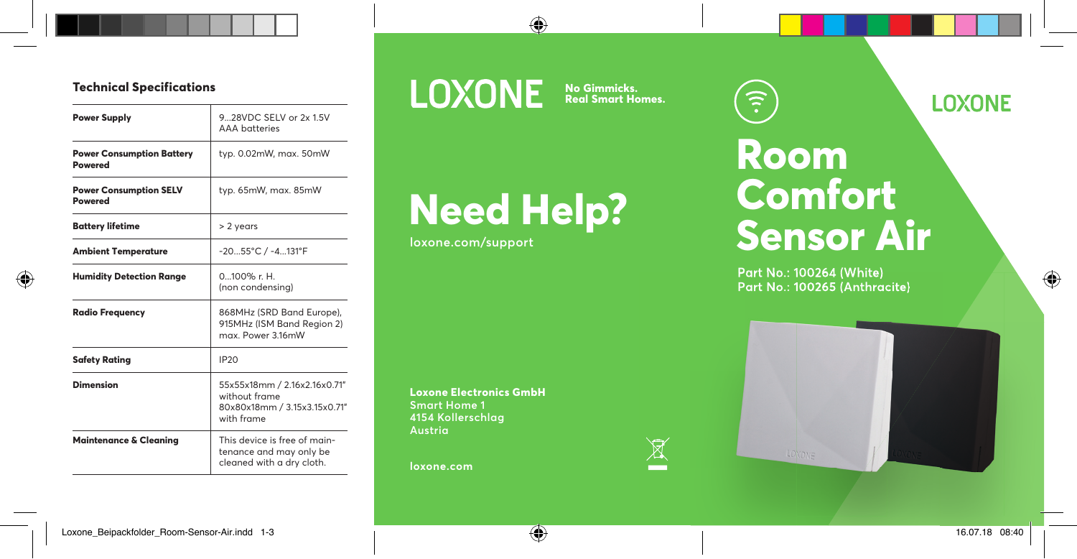#### **Technical Specifications**

| <b>Power Supply</b>                                | 928VDC SELV or 2x 1.5V<br>AAA hatteries                                                     |
|----------------------------------------------------|---------------------------------------------------------------------------------------------|
| <b>Power Consumption Battery</b><br><b>Powered</b> | typ. 0.02mW, max. 50mW                                                                      |
| <b>Power Consumption SELV</b><br>Powered           | typ. 65mW, max. 85mW                                                                        |
| Battery lifetime                                   | > 2 years                                                                                   |
| Ambient Temperature                                | -2055°C / -4131°F                                                                           |
| <b>Humidity Detection Range</b>                    | $0.100\%$ r H<br>(non condensina)                                                           |
| <b>Radio Frequency</b>                             | 868MHz (SRD Band Europe),<br>915MHz (ISM Band Reaion 2)<br>max. Power 3.16mW                |
| <b>Safety Rating</b>                               | IP <sub>20</sub>                                                                            |
| Dimension                                          | 55x55x18mm / 2.16x2.16x0.71"<br>without frame<br>80x80x18mm / 3.15x3.15x0.71"<br>with frame |
| <b>Maintenance &amp; Cleaning</b>                  | This device is free of main-<br>tenance and may only be<br>cleaned with a dry cloth.        |

### **LOXONE**

**No Gimmicks. Real Smart Homes.**

 $\mathbb{R}$ 

# **Need Help?**

**loxone.com/support**

**Loxone Electronics GmbH Smart Home 1 4154 Kollerschlag Austria**

**loxone.com**

## **Room Comfort Sensor Air**

 $\widehat{\cdot}$ 

**Part No.: 100264 (White) Part No.: 100265 (Anthracite)**



**LOXONE**